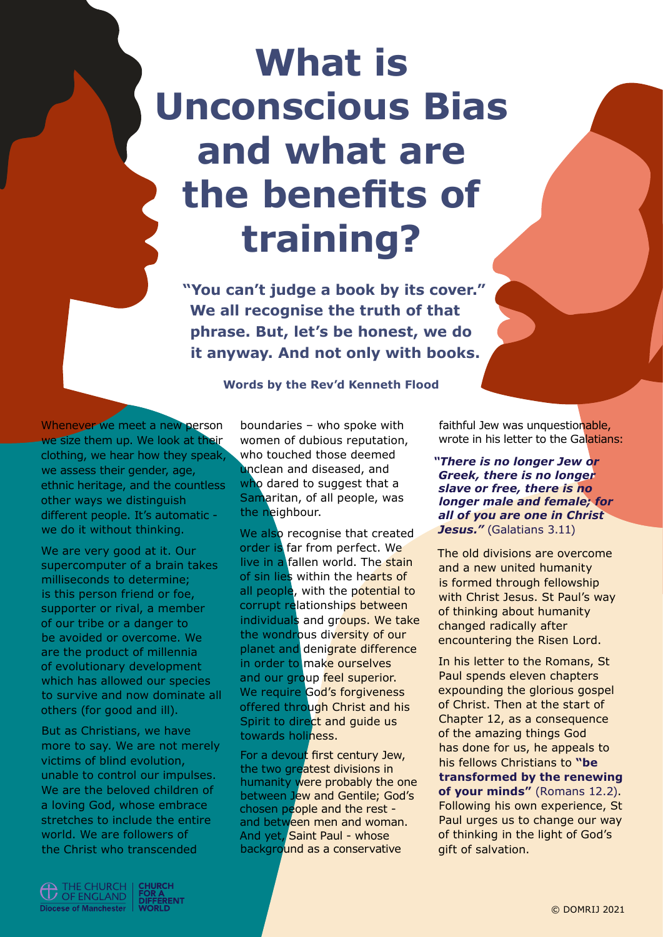## **What is Unconscious Bias and what are the benefits of training?**

**"You can't judge a book by its cover." We all recognise the truth of that phrase. But, let's be honest, we do it anyway. And not only with books.**

**Words by the Rev'd Kenneth Flood**

Whenever we meet a new person we size them up. We look at their clothing, we hear how they speak, we assess their gender, age, ethnic heritage, and the countless other ways we distinguish different people. It's automatic we do it without thinking.

We are very good at it. Our supercomputer of a brain takes milliseconds to determine; is this person friend or foe, supporter or rival, a member of our tribe or a danger to be avoided or overcome. We are the product of millennia of evolutionary development which has allowed our species to survive and now dominate all others (for good and ill).

But as Christians, we have more to say. We are not merely victims of blind evolution, unable to control our impulses. We are the beloved children of a loving God, whose embrace stretches to include the entire world. We are followers of the Christ who transcended

boundaries – who spoke with women of dubious reputation, who touched those deemed unclean and diseased, and who dared to suggest that a Samaritan, of all people, was the neighbour.

We also recognise that created order is far from perfect. We live in a fallen world. The stain of sin lies within the hearts of all people, with the potential to corrupt relationships between individuals and groups. We take the wondrous diversity of our planet and denigrate difference in order to make ourselves and our group feel superior. We require God's forgiveness offered through Christ and his Spirit to direct and guide us towards holiness.

For a devout first century Jew, the two greatest divisions in humanity were probably the one between Jew and Gentile; God's chosen people and the rest and between men and woman. And yet, Saint Paul - whose background as a conservative

faithful Jew was unquestionable, wrote in his letter to the Galatians:

*"There is no longer Jew or Greek, there is no longer slave or free, there is no longer male and female; for all of you are one in Christ*  Jesus." (Galatians 3.11)

The old divisions are overcome and a new united humanity is formed through fellowship with Christ Jesus. St Paul's way of thinking about humanity changed radically after encountering the Risen Lord.

In his letter to the Romans, St Paul spends eleven chapters expounding the glorious gospel of Christ. Then at the start of Chapter 12, as a consequence of the amazing things God has done for us, he appeals to his fellows Christians to **"be transformed by the renewing of your minds"** (Romans 12.2). Following his own experience, St Paul urges us to change our way of thinking in the light of God's gift of salvation.